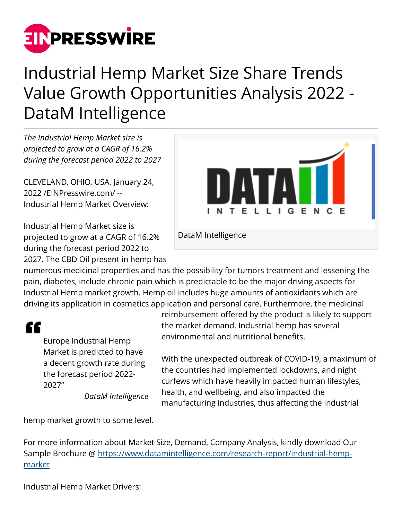

## Industrial Hemp Market Size Share Trends Value Growth Opportunities Analysis 2022 - DataM Intelligence

*The Industrial Hemp Market size is projected to grow at a CAGR of 16.2% during the forecast period 2022 to 2027*

CLEVELAND, OHIO, USA, January 24, 2022 /[EINPresswire.com](http://www.einpresswire.com)/ -- Industrial Hemp Market Overview:

Industrial Hemp Market size is projected to grow at a CAGR of 16.2% during the forecast period 2022 to 2027. The CBD Oil present in hemp has



DataM Intelligence

numerous medicinal properties and has the possibility for tumors treatment and lessening the pain, diabetes, include chronic pain which is predictable to be the major driving aspects for Industrial Hemp market growth. Hemp oil includes huge amounts of antioxidants which are driving its application in cosmetics application and personal care. Furthermore, the medicinal

## "

Europe Industrial Hemp Market is predicted to have a decent growth rate during the forecast period 2022- 2027"

*DataM Intelligence*

reimbursement offered by the product is likely to support the market demand. Industrial hemp has several environmental and nutritional benefits.

With the unexpected outbreak of COVID-19, a maximum of the countries had implemented lockdowns, and night curfews which have heavily impacted human lifestyles, health, and wellbeing, and also impacted the manufacturing industries, thus affecting the industrial

hemp market growth to some level.

For more information about Market Size, Demand, Company Analysis, kindly download Our Sample Brochure @ [https://www.datamintelligence.com/research-report/industrial-hemp](https://www.datamintelligence.com/research-report/industrial-hemp-market)[market](https://www.datamintelligence.com/research-report/industrial-hemp-market)

Industrial Hemp Market Drivers: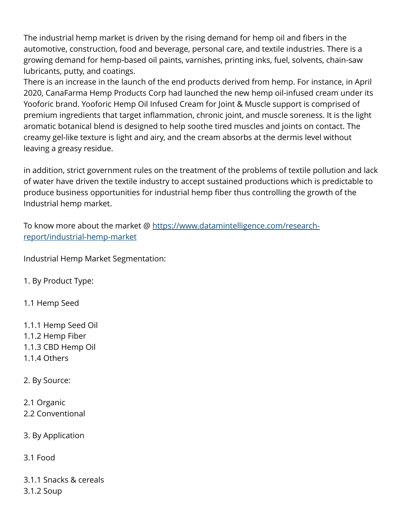The industrial hemp market is driven by the rising demand for hemp oil and fibers in the automotive, construction, food and beverage, personal care, and textile industries. There is a growing demand for hemp-based oil paints, varnishes, printing inks, fuel, solvents, chain-saw lubricants, putty, and coatings.

There is an increase in the launch of the end products derived from hemp. For instance, in April 2020, CanaFarma Hemp Products Corp had launched the new hemp oil-infused cream under its Yooforic brand. Yooforic Hemp Oil Infused Cream for Joint & Muscle support is comprised of premium ingredients that target inflammation, chronic joint, and muscle soreness. It is the light aromatic botanical blend is designed to help soothe tired muscles and joints on contact. The creamy gel-like texture is light and airy, and the cream absorbs at the dermis level without leaving a greasy residue.

in addition, strict government rules on the treatment of the problems of textile pollution and lack of water have driven the textile industry to accept sustained productions which is predictable to produce business opportunities for industrial hemp fiber thus controlling the growth of the Industrial hemp market.

To know more about the market @ [https://www.datamintelligence.com/research](https://www.datamintelligence.com/research-report/industrial-hemp-market)[report/industrial-hemp-market](https://www.datamintelligence.com/research-report/industrial-hemp-market)

Industrial Hemp Market Segmentation:

1. By Product Type:

1.1 Hemp Seed

1.1.1 Hemp Seed Oil 1.1.2 Hemp Fiber 1.1.3 CBD Hemp Oil 1.1.4 Others

2. By Source:

2.1 Organic 2.2 Conventional

3. By Application

3.1 Food

3.1.1 Snacks & cereals 3.1.2 Soup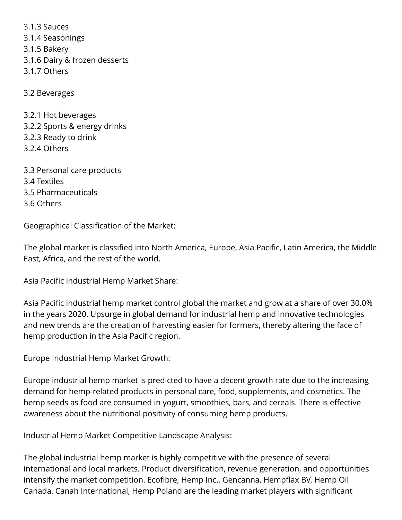3.1.3 Sauces 3.1.4 Seasonings 3.1.5 Bakery 3.1.6 Dairy & frozen desserts 3.1.7 Others

3.2 Beverages

3.2.1 Hot beverages 3.2.2 Sports & energy drinks 3.2.3 Ready to drink 3.2.4 Others

3.3 Personal care products 3.4 Textiles 3.5 Pharmaceuticals 3.6 Others

Geographical Classification of the Market:

The global market is classified into North America, Europe, Asia Pacific, Latin America, the Middle East, Africa, and the rest of the world.

Asia Pacific industrial Hemp Market Share:

Asia Pacific industrial hemp market control global the market and grow at a share of over 30.0% in the years 2020. Upsurge in global demand for industrial hemp and innovative technologies and new trends are the creation of harvesting easier for formers, thereby altering the face of hemp production in the Asia Pacific region.

Europe Industrial Hemp Market Growth:

Europe industrial hemp market is predicted to have a decent growth rate due to the increasing demand for hemp-related products in personal care, food, supplements, and cosmetics. The hemp seeds as food are consumed in yogurt, smoothies, bars, and cereals. There is effective awareness about the nutritional positivity of consuming hemp products.

Industrial Hemp Market Competitive Landscape Analysis:

The global industrial hemp market is highly competitive with the presence of several international and local markets. Product diversification, revenue generation, and opportunities intensify the market competition. Ecofibre, Hemp Inc., Gencanna, Hempflax BV, Hemp Oil Canada, Canah International, Hemp Poland are the leading market players with significant